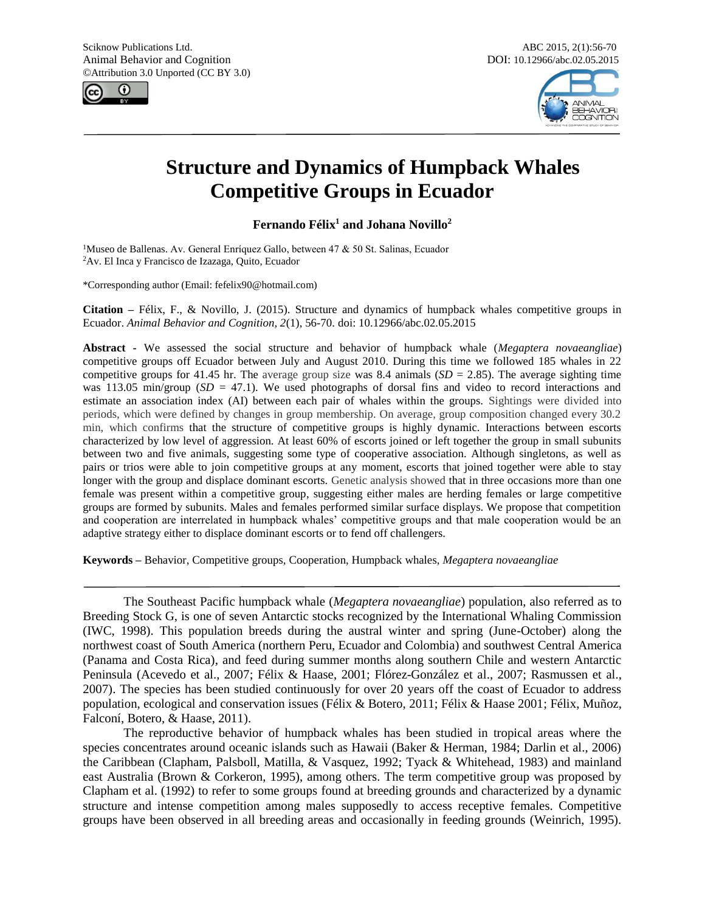



# **Structure and Dynamics of Humpback Whales Competitive Groups in Ecuador**

**Fernando Félix<sup>1</sup> and Johana Novillo<sup>2</sup>**

<sup>1</sup>Museo de Ballenas. Av. General Enríquez Gallo, between 47 & 50 St. Salinas, Ecuador <sup>2</sup>Av. El Inca y Francisco de Izazaga, Quito, Ecuador

\*Corresponding author (Email: fefelix90@hotmail.com)

**Citation –** Félix, F., & Novillo, J. (2015). Structure and dynamics of humpback whales competitive groups in Ecuador. *Animal Behavior and Cognition, 2*(1), 56-70. doi: 10.12966/abc.02.05.2015

**Abstract -** We assessed the social structure and behavior of humpback whale (*Megaptera novaeangliae*) competitive groups off Ecuador between July and August 2010. During this time we followed 185 whales in 22 competitive groups for 41.45 hr. The average group size was 8.4 animals  $(SD = 2.85)$ . The average sighting time was 113.05 min/group (*SD* = 47.1). We used photographs of dorsal fins and video to record interactions and estimate an association index (AI) between each pair of whales within the groups. Sightings were divided into periods, which were defined by changes in group membership. On average, group composition changed every 30.2 min, which confirms that the structure of competitive groups is highly dynamic. Interactions between escorts characterized by low level of aggression. At least 60% of escorts joined or left together the group in small subunits between two and five animals, suggesting some type of cooperative association. Although singletons, as well as pairs or trios were able to join competitive groups at any moment, escorts that joined together were able to stay longer with the group and displace dominant escorts. Genetic analysis showed that in three occasions more than one female was present within a competitive group, suggesting either males are herding females or large competitive groups are formed by subunits. Males and females performed similar surface displays. We propose that competition and cooperation are interrelated in humpback whales' competitive groups and that male cooperation would be an adaptive strategy either to displace dominant escorts or to fend off challengers.

**Keywords –** Behavior, Competitive groups, Cooperation, Humpback whales, *Megaptera novaeangliae*

The Southeast Pacific humpback whale (*Megaptera novaeangliae*) population, also referred as to Breeding Stock G, is one of seven Antarctic stocks recognized by the International Whaling Commission (IWC, 1998). This population breeds during the austral winter and spring (June-October) along the northwest coast of South America (northern Peru, Ecuador and Colombia) and southwest Central America (Panama and Costa Rica), and feed during summer months along southern Chile and western Antarctic Peninsula (Acevedo et al., 2007; Félix & Haase, 2001; Flórez-González et al., 2007; Rasmussen et al., 2007). The species has been studied continuously for over 20 years off the coast of Ecuador to address population, ecological and conservation issues (Félix & Botero, 2011; Félix & Haase 2001; Félix, Muñoz, Falconí, Botero, & Haase, 2011).

The reproductive behavior of humpback whales has been studied in tropical areas where the species concentrates around oceanic islands such as Hawaii (Baker & Herman, 1984; Darlin et al., 2006) the Caribbean (Clapham, Palsboll, Matilla, & Vasquez, 1992; Tyack & Whitehead, 1983) and mainland east Australia (Brown & Corkeron, 1995), among others. The term competitive group was proposed by Clapham et al. (1992) to refer to some groups found at breeding grounds and characterized by a dynamic structure and intense competition among males supposedly to access receptive females. Competitive groups have been observed in all breeding areas and occasionally in feeding grounds (Weinrich, 1995).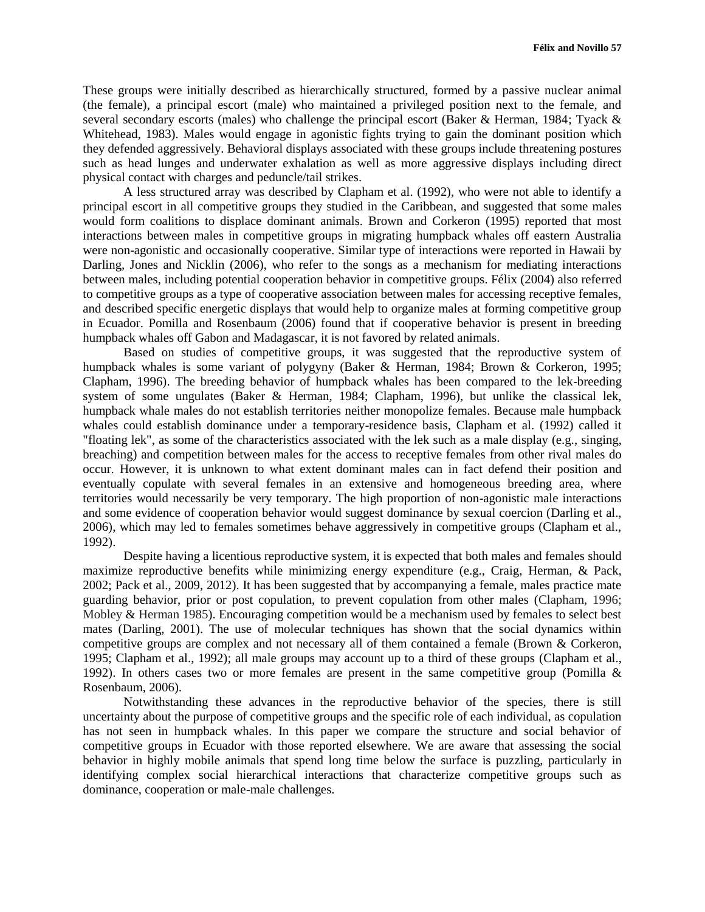These groups were initially described as hierarchically structured, formed by a passive nuclear animal (the female), a principal escort (male) who maintained a privileged position next to the female, and several secondary escorts (males) who challenge the principal escort (Baker & Herman, 1984; Tyack & Whitehead, 1983). Males would engage in agonistic fights trying to gain the dominant position which they defended aggressively. Behavioral displays associated with these groups include threatening postures such as head lunges and underwater exhalation as well as more aggressive displays including direct physical contact with charges and peduncle/tail strikes.

A less structured array was described by Clapham et al. (1992), who were not able to identify a principal escort in all competitive groups they studied in the Caribbean, and suggested that some males would form coalitions to displace dominant animals. Brown and Corkeron (1995) reported that most interactions between males in competitive groups in migrating humpback whales off eastern Australia were non-agonistic and occasionally cooperative. Similar type of interactions were reported in Hawaii by Darling, Jones and Nicklin (2006), who refer to the songs as a mechanism for mediating interactions between males, including potential cooperation behavior in competitive groups. Félix (2004) also referred to competitive groups as a type of cooperative association between males for accessing receptive females, and described specific energetic displays that would help to organize males at forming competitive group in Ecuador. Pomilla and Rosenbaum (2006) found that if cooperative behavior is present in breeding humpback whales off Gabon and Madagascar, it is not favored by related animals.

Based on studies of competitive groups, it was suggested that the reproductive system of humpback whales is some variant of polygyny (Baker & Herman, 1984; Brown & Corkeron, 1995; Clapham, 1996). The breeding behavior of humpback whales has been compared to the lek-breeding system of some ungulates (Baker & Herman, 1984; Clapham, 1996), but unlike the classical lek, humpback whale males do not establish territories neither monopolize females. Because male humpback whales could establish dominance under a temporary-residence basis, Clapham et al. (1992) called it "floating lek", as some of the characteristics associated with the lek such as a male display (e.g., singing, breaching) and competition between males for the access to receptive females from other rival males do occur. However, it is unknown to what extent dominant males can in fact defend their position and eventually copulate with several females in an extensive and homogeneous breeding area, where territories would necessarily be very temporary. The high proportion of non-agonistic male interactions and some evidence of cooperation behavior would suggest dominance by sexual coercion (Darling et al., 2006), which may led to females sometimes behave aggressively in competitive groups (Clapham et al., 1992).

Despite having a licentious reproductive system, it is expected that both males and females should maximize reproductive benefits while minimizing energy expenditure (e.g., Craig, Herman, & Pack, 2002; Pack et al., 2009, 2012). It has been suggested that by accompanying a female, males practice mate guarding behavior, prior or post copulation, to prevent copulation from other males (Clapham, 1996; Mobley & Herman 1985). Encouraging competition would be a mechanism used by females to select best mates (Darling, 2001). The use of molecular techniques has shown that the social dynamics within competitive groups are complex and not necessary all of them contained a female (Brown & Corkeron, 1995; Clapham et al., 1992); all male groups may account up to a third of these groups (Clapham et al., 1992). In others cases two or more females are present in the same competitive group (Pomilla  $\&$ Rosenbaum, 2006).

Notwithstanding these advances in the reproductive behavior of the species, there is still uncertainty about the purpose of competitive groups and the specific role of each individual, as copulation has not seen in humpback whales. In this paper we compare the structure and social behavior of competitive groups in Ecuador with those reported elsewhere. We are aware that assessing the social behavior in highly mobile animals that spend long time below the surface is puzzling, particularly in identifying complex social hierarchical interactions that characterize competitive groups such as dominance, cooperation or male-male challenges.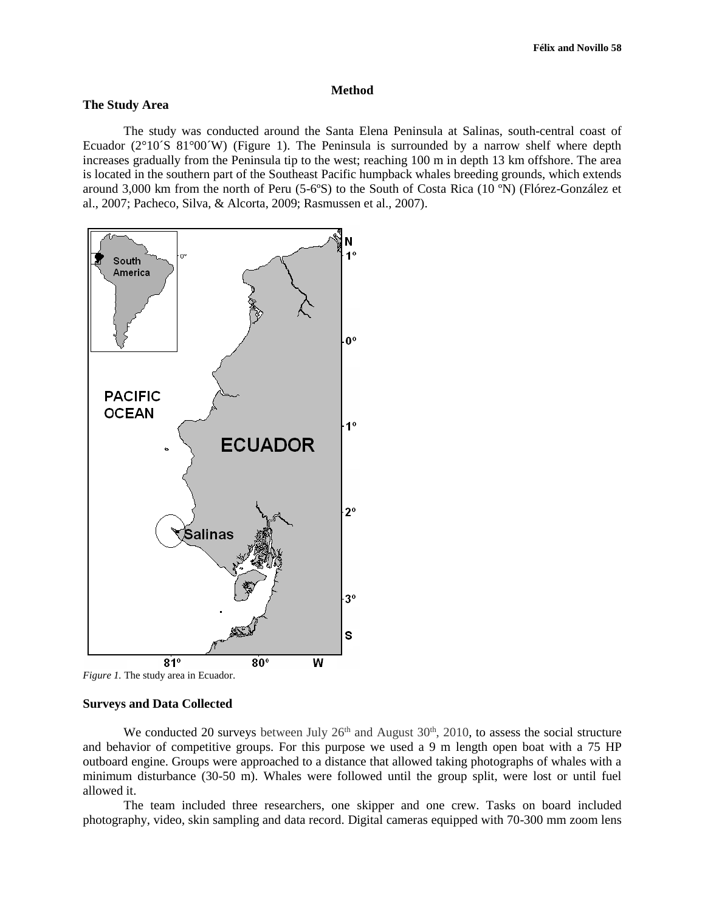#### **Method**

# **The Study Area**

The study was conducted around the Santa Elena Peninsula at Salinas, south-central coast of Ecuador ( $2^{\circ}10^{\circ}S$  81 $^{\circ}00^{\circ}W$ ) (Figure 1). The Peninsula is surrounded by a narrow shelf where depth increases gradually from the Peninsula tip to the west; reaching 100 m in depth 13 km offshore. The area is located in the southern part of the Southeast Pacific humpback whales breeding grounds, which extends around 3,000 km from the north of Peru (5-6ºS) to the South of Costa Rica (10 ºN) (Flórez-González et al., 2007; Pacheco, Silva, & Alcorta, 2009; Rasmussen et al., 2007).





## **Surveys and Data Collected**

We conducted 20 surveys between July  $26<sup>th</sup>$  and August  $30<sup>th</sup>$ ,  $2010$ , to assess the social structure and behavior of competitive groups. For this purpose we used a 9 m length open boat with a 75 HP outboard engine. Groups were approached to a distance that allowed taking photographs of whales with a minimum disturbance (30-50 m). Whales were followed until the group split, were lost or until fuel allowed it.

The team included three researchers, one skipper and one crew. Tasks on board included photography, video, skin sampling and data record. Digital cameras equipped with 70-300 mm zoom lens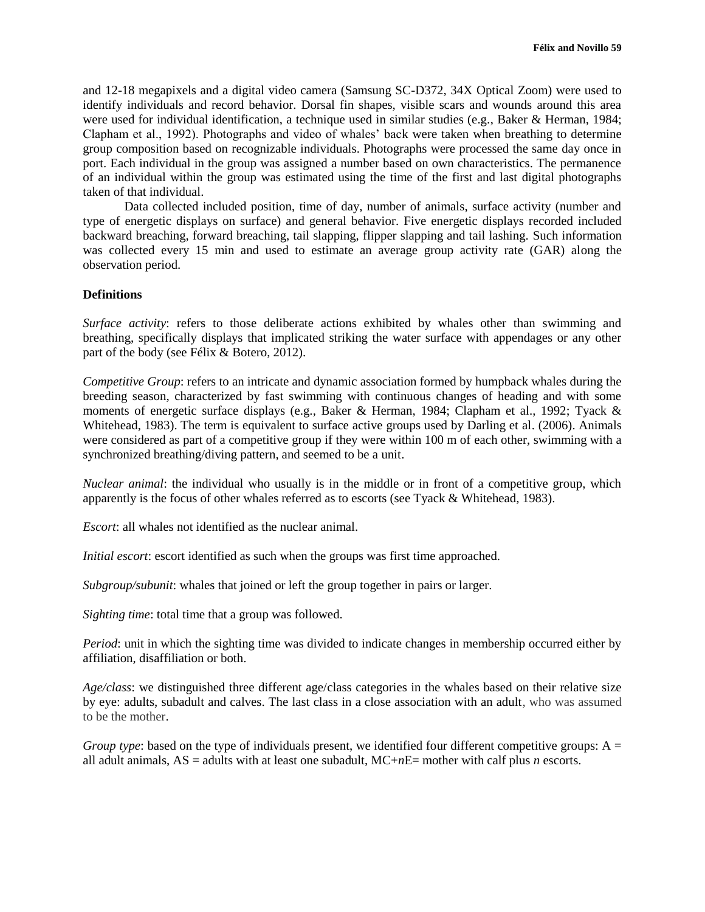and 12-18 megapixels and a digital video camera (Samsung SC-D372, 34X Optical Zoom) were used to identify individuals and record behavior. Dorsal fin shapes, visible scars and wounds around this area were used for individual identification, a technique used in similar studies (e.g., Baker & Herman, 1984; Clapham et al., 1992). Photographs and video of whales' back were taken when breathing to determine group composition based on recognizable individuals. Photographs were processed the same day once in port. Each individual in the group was assigned a number based on own characteristics. The permanence of an individual within the group was estimated using the time of the first and last digital photographs taken of that individual.

Data collected included position, time of day, number of animals, surface activity (number and type of energetic displays on surface) and general behavior. Five energetic displays recorded included backward breaching, forward breaching, tail slapping, flipper slapping and tail lashing. Such information was collected every 15 min and used to estimate an average group activity rate (GAR) along the observation period.

#### **Definitions**

*Surface activity*: refers to those deliberate actions exhibited by whales other than swimming and breathing, specifically displays that implicated striking the water surface with appendages or any other part of the body (see Félix & Botero, 2012).

*Competitive Group*: refers to an intricate and dynamic association formed by humpback whales during the breeding season, characterized by fast swimming with continuous changes of heading and with some moments of energetic surface displays (e.g., Baker & Herman, 1984; Clapham et al., 1992; Tyack & Whitehead, 1983). The term is equivalent to surface active groups used by Darling et al. (2006). Animals were considered as part of a competitive group if they were within 100 m of each other, swimming with a synchronized breathing/diving pattern, and seemed to be a unit.

*Nuclear animal*: the individual who usually is in the middle or in front of a competitive group, which apparently is the focus of other whales referred as to escorts (see Tyack & Whitehead, 1983).

*Escort*: all whales not identified as the nuclear animal.

*Initial escort*: escort identified as such when the groups was first time approached.

*Subgroup/subunit*: whales that joined or left the group together in pairs or larger.

*Sighting time*: total time that a group was followed.

*Period*: unit in which the sighting time was divided to indicate changes in membership occurred either by affiliation, disaffiliation or both.

*Age/class*: we distinguished three different age/class categories in the whales based on their relative size by eye: adults, subadult and calves. The last class in a close association with an adult, who was assumed to be the mother.

*Group type*: based on the type of individuals present, we identified four different competitive groups:  $A =$ all adult animals,  $AS =$  adults with at least one subadult,  $MC+nE=$  mother with calf plus *n* escorts.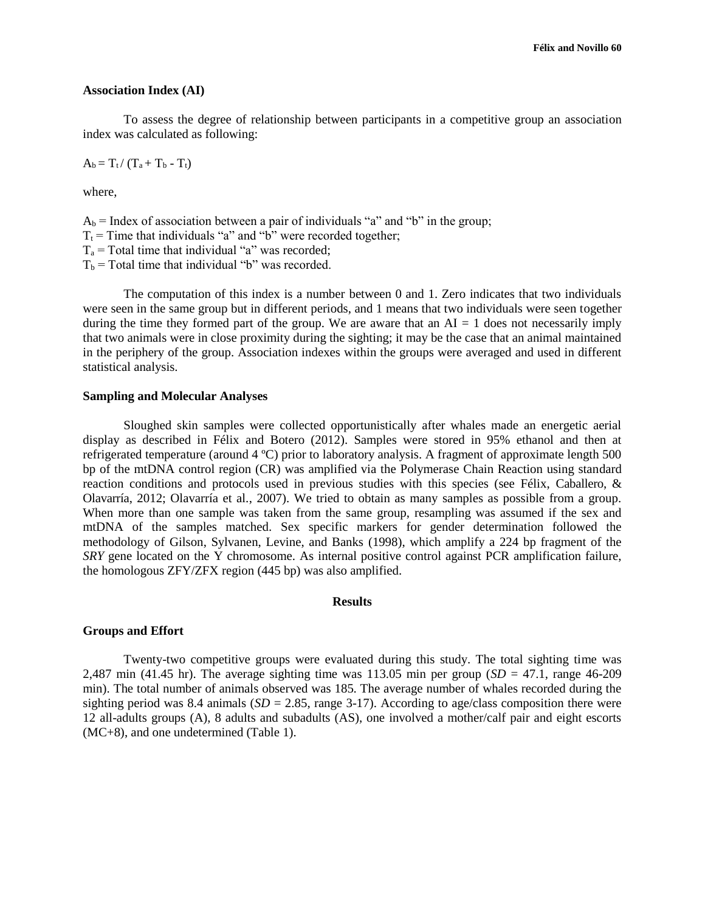#### **Association Index (AI)**

To assess the degree of relationship between participants in a competitive group an association index was calculated as following:

 $A_b = T_t / (T_a + T_b - T_t)$ 

where,

 $A_b$  = Index of association between a pair of individuals "a" and "b" in the group;  $T_t$  = Time that individuals "a" and "b" were recorded together;  $T_a$  = Total time that individual "a" was recorded;  $T_b$  = Total time that individual "b" was recorded.

The computation of this index is a number between 0 and 1. Zero indicates that two individuals were seen in the same group but in different periods, and 1 means that two individuals were seen together during the time they formed part of the group. We are aware that an  $AI = 1$  does not necessarily imply that two animals were in close proximity during the sighting; it may be the case that an animal maintained in the periphery of the group. Association indexes within the groups were averaged and used in different statistical analysis.

#### **Sampling and Molecular Analyses**

Sloughed skin samples were collected opportunistically after whales made an energetic aerial display as described in Félix and Botero (2012). Samples were stored in 95% ethanol and then at refrigerated temperature (around 4 ºC) prior to laboratory analysis. A fragment of approximate length 500 bp of the mtDNA control region (CR) was amplified via the Polymerase Chain Reaction using standard reaction conditions and protocols used in previous studies with this species (see Félix, Caballero, & Olavarría, 2012; Olavarría et al*.*, 2007). We tried to obtain as many samples as possible from a group. When more than one sample was taken from the same group, resampling was assumed if the sex and mtDNA of the samples matched. Sex specific markers for gender determination followed the methodology of Gilson, Sylvanen, Levine, and Banks (1998), which amplify a 224 bp fragment of the *SRY* gene located on the Y chromosome. As internal positive control against PCR amplification failure, the homologous ZFY/ZFX region (445 bp) was also amplified.

## **Results**

## **Groups and Effort**

Twenty-two competitive groups were evaluated during this study. The total sighting time was 2,487 min (41.45 hr). The average sighting time was  $113.05$  min per group (*SD* = 47.1, range 46-209 min). The total number of animals observed was 185. The average number of whales recorded during the sighting period was 8.4 animals  $(SD = 2.85$ , range 3-17). According to age/class composition there were 12 all-adults groups (A), 8 adults and subadults (AS), one involved a mother/calf pair and eight escorts (MC+8), and one undetermined (Table 1).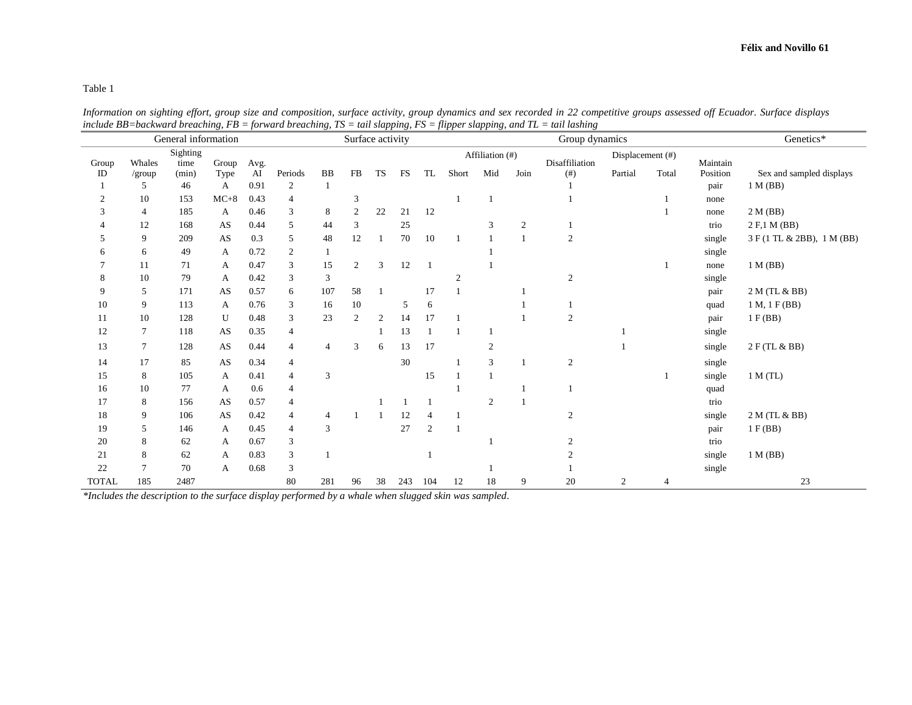Table 1

| General information                                  |                |       |                        |      |                |                | Surface activity |           |                 |                | Group dynamics |                |                  |                  |                | Genetics*      |          |                            |
|------------------------------------------------------|----------------|-------|------------------------|------|----------------|----------------|------------------|-----------|-----------------|----------------|----------------|----------------|------------------|------------------|----------------|----------------|----------|----------------------------|
| Sighting<br>Whales<br>time<br>Group<br>Avg.<br>Group |                |       |                        |      |                |                |                  |           | Affiliation (#) |                |                | Disaffiliation | Displacement (#) |                  | Maintain       |                |          |                            |
| ID                                                   | $/$ group      | (min) | Type                   | AI   | Periods        | <b>BB</b>      | FB               | <b>TS</b> | <b>FS</b>       | TL             | Short          | Mid            | Join             | (# )             | Partial        | Total          | Position | Sex and sampled displays   |
|                                                      | 5              | 46    | A                      | 0.91 | $\overline{c}$ |                |                  |           |                 |                |                |                |                  |                  |                |                | pair     | 1 M(BB)                    |
| $\overline{c}$                                       | 10             | 153   | $MC+8$                 | 0.43 | 4              |                | 3                |           |                 |                |                |                |                  |                  |                |                | none     |                            |
| 3                                                    | 4              | 185   | A                      | 0.46 | 3              | 8              | $\mathfrak{2}$   | 22        | 21              | 12             |                |                |                  |                  |                |                | none     | 2 M (BB)                   |
|                                                      | 12             | 168   | AS                     | 0.44 | 5              | 44             | 3                |           | 25              |                |                | 3              | $\overline{c}$   |                  |                |                | trio     | 2 F,1 M (BB)               |
|                                                      | 9              | 209   | AS                     | 0.3  | 5              | 48             | 12               |           | 70              | 10             | $\overline{1}$ |                |                  | $\boldsymbol{2}$ |                |                | single   | 3 F (1 TL & 2BB), 1 M (BB) |
| 6                                                    | 6              | 49    | A                      | 0.72 | 2              |                |                  |           |                 |                |                |                |                  |                  |                |                | single   |                            |
|                                                      | 11             | 71    | А                      | 0.47 | 3              | 15             | $\overline{2}$   | 3         | 12              |                |                |                |                  |                  |                |                | none     | 1 M(BB)                    |
| 8                                                    | 10             | 79    | A                      | 0.42 | 3              | 3              |                  |           |                 |                | $\overline{2}$ |                |                  | $\overline{2}$   |                |                | single   |                            |
| 9                                                    | 5              | 171   | AS                     | 0.57 | 6              | 107            | 58               |           |                 | 17             |                |                |                  |                  |                |                | pair     | 2 M (TL & BB)              |
| 10                                                   | 9              | 113   | А                      | 0.76 | 3              | 16             | 10               |           | 5               | 6              |                |                |                  |                  |                |                | quad     | 1 M, 1 F(BB)               |
| 11                                                   | 10             | 128   | U                      | 0.48 | 3              | 23             | $\mathfrak{2}$   | 2         | 14              | 17             |                |                |                  | $\overline{2}$   |                |                | pair     | 1 F(BB)                    |
| 12                                                   | $\tau$         | 118   | AS                     | 0.35 | $\overline{4}$ |                |                  |           | 13              |                |                |                |                  |                  |                |                | single   |                            |
| 13                                                   | 7              | 128   | $\mathbf{A}\mathbf{S}$ | 0.44 | $\overline{4}$ | $\overline{4}$ | 3                | 6         | 13              | 17             |                | $\overline{c}$ |                  |                  |                |                | single   | 2 F (TL & BB)              |
| 14                                                   | 17             | 85    | AS                     | 0.34 | 4              |                |                  |           | 30              |                |                | 3              |                  | $\overline{c}$   |                |                | single   |                            |
| 15                                                   | 8              | 105   | А                      | 0.41 | $\overline{4}$ | 3              |                  |           |                 | 15             |                |                |                  |                  |                |                | single   | 1 M (TL)                   |
| 16                                                   | 10             | 77    | A                      | 0.6  | $\overline{4}$ |                |                  |           |                 |                |                |                |                  |                  |                |                | quad     |                            |
| 17                                                   | 8              | 156   | AS                     | 0.57 | $\overline{4}$ |                |                  |           |                 |                |                | $\overline{2}$ |                  |                  |                |                | trio     |                            |
| 18                                                   | 9              | 106   | AS                     | 0.42 | 4              | $\overline{4}$ |                  |           | 12              | $\overline{4}$ |                |                |                  | $\mathfrak{2}$   |                |                | single   | 2 M (TL & BB)              |
| 19                                                   | 5              | 146   | A                      | 0.45 | $\overline{4}$ | $\overline{3}$ |                  |           | 27              | $\overline{2}$ |                |                |                  |                  |                |                | pair     | 1 F(BB)                    |
| 20                                                   | 8              | 62    | А                      | 0.67 | 3              |                |                  |           |                 |                |                |                |                  |                  |                |                | trio     |                            |
| 21                                                   | 8              | 62    | A                      | 0.83 | 3              |                |                  |           |                 |                |                |                |                  |                  |                |                | single   | 1 M(BB)                    |
| 22                                                   | $\overline{7}$ | 70    | А                      | 0.68 | 3              |                |                  |           |                 |                |                |                |                  |                  |                |                | single   |                            |
| <b>TOTAL</b>                                         | 185            | 2487  |                        |      | 80             | 281            | 96               | 38        | 243             | 104            | 12             | 18             | 9                | 20               | $\mathfrak{2}$ | $\overline{4}$ |          | 23                         |

*Information on sighting effort, group size and composition, surface activity, group dynamics and sex recorded in 22 competitive groups assessed off Ecuador. Surface displays include BB=backward breaching, FB = forward breaching, TS = tail slapping, FS = flipper slapping, and TL = tail lashing* 

*\*Includes the description to the surface display performed by a whale when slugged skin was sampled.*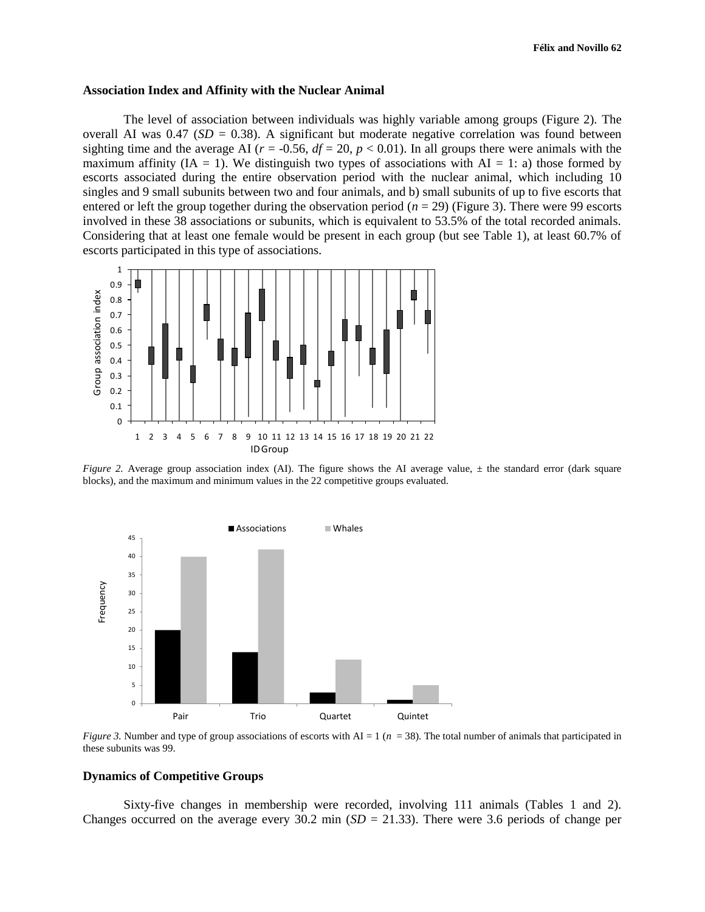#### **Association Index and Affinity with the Nuclear Animal**

The level of association between individuals was highly variable among groups (Figure 2). The overall AI was  $0.47$  ( $SD = 0.38$ ). A significant but moderate negative correlation was found between sighting time and the average AI ( $r = -0.56$ ,  $df = 20$ ,  $p < 0.01$ ). In all groups there were animals with the maximum affinity  $(IA = 1)$ . We distinguish two types of associations with  $AI = 1$ : a) those formed by escorts associated during the entire observation period with the nuclear animal, which including 10 singles and 9 small subunits between two and four animals, and b) small subunits of up to five escorts that entered or left the group together during the observation period (*n* = 29) (Figure 3). There were 99 escorts involved in these 38 associations or subunits, which is equivalent to 53.5% of the total recorded animals. Considering that at least one female would be present in each group (but see Table 1), at least 60.7% of escorts participated in this type of associations.



*Figure 2.* Average group association index (AI). The figure shows the AI average value,  $\pm$  the standard error (dark square blocks), and the maximum and minimum values in the 22 competitive groups evaluated.



*Figure 3.* Number and type of group associations of escorts with  $AI = 1$  ( $n = 38$ ). The total number of animals that participated in these subunits was 99.

## **Dynamics of Competitive Groups**

Sixty-five changes in membership were recorded, involving 111 animals (Tables 1 and 2). Changes occurred on the average every 30.2 min  $(SD = 21.33)$ . There were 3.6 periods of change per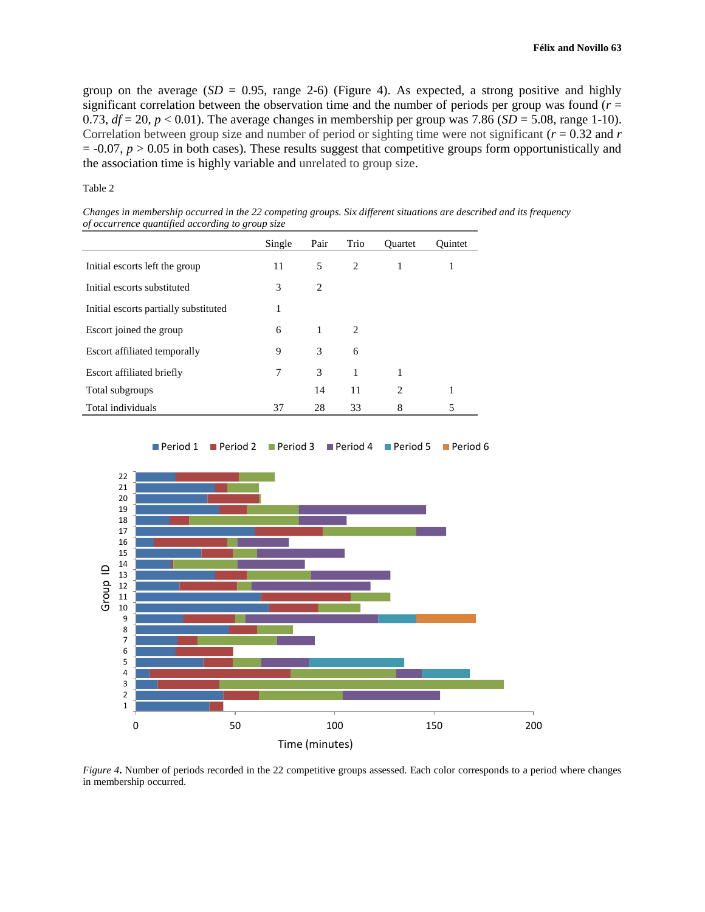group on the average  $(SD = 0.95$ , range 2-6) (Figure 4). As expected, a strong positive and highly significant correlation between the observation time and the number of periods per group was found  $(r =$ 0.73,  $df = 20$ ,  $p < 0.01$ ). The average changes in membership per group was 7.86 ( $SD = 5.08$ , range 1-10). Correlation between group size and number of period or sighting time were not significant ( $r = 0.32$  and  $r = 0.32$ )  $= -0.07$ ,  $p > 0.05$  in both cases). These results suggest that competitive groups form opportunistically and the association time is highly variable and unrelated to group size.

Table 2

*Changes in membership occurred in the 22 competing groups. Six different situations are described and its frequency of occurrence quantified according to group size* 

|                                       | Single | Pair | Trio | <b>Ouartet</b> | Ouintet |
|---------------------------------------|--------|------|------|----------------|---------|
| Initial escorts left the group        | 11     | 5    | 2    | 1              |         |
| Initial escorts substituted           | 3      | 2    |      |                |         |
| Initial escorts partially substituted | 1      |      |      |                |         |
| Escort joined the group               | 6      | 1    | 2    |                |         |
| Escort affiliated temporally          | 9      | 3    | 6    |                |         |
| Escort affiliated briefly             | 7      | 3    | 1    | 1              |         |
| Total subgroups                       |        | 14   | 11   | $\overline{c}$ |         |
| Total individuals                     | 37     | 28   | 33   | 8              | 5       |



*Figure 4***.** Number of periods recorded in the 22 competitive groups assessed. Each color corresponds to a period where changes in membership occurred.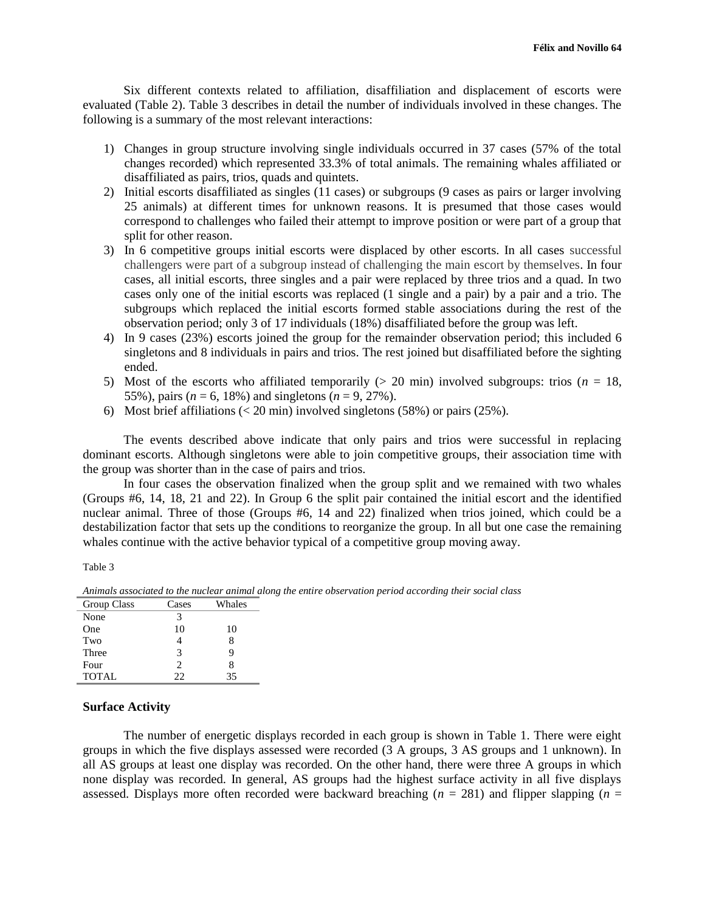Six different contexts related to affiliation, disaffiliation and displacement of escorts were evaluated (Table 2). Table 3 describes in detail the number of individuals involved in these changes. The following is a summary of the most relevant interactions:

- 1) Changes in group structure involving single individuals occurred in 37 cases (57% of the total changes recorded) which represented 33.3% of total animals. The remaining whales affiliated or disaffiliated as pairs, trios, quads and quintets.
- 2) Initial escorts disaffiliated as singles (11 cases) or subgroups (9 cases as pairs or larger involving 25 animals) at different times for unknown reasons. It is presumed that those cases would correspond to challenges who failed their attempt to improve position or were part of a group that split for other reason.
- 3) In 6 competitive groups initial escorts were displaced by other escorts. In all cases successful challengers were part of a subgroup instead of challenging the main escort by themselves. In four cases, all initial escorts, three singles and a pair were replaced by three trios and a quad. In two cases only one of the initial escorts was replaced (1 single and a pair) by a pair and a trio. The subgroups which replaced the initial escorts formed stable associations during the rest of the observation period; only 3 of 17 individuals (18%) disaffiliated before the group was left.
- 4) In 9 cases (23%) escorts joined the group for the remainder observation period; this included 6 singletons and 8 individuals in pairs and trios. The rest joined but disaffiliated before the sighting ended.
- 5) Most of the escorts who affiliated temporarily  $(> 20 \text{ min})$  involved subgroups: trios  $(n = 18,$ 55%), pairs ( $n = 6$ , 18%) and singletons ( $n = 9$ , 27%).
- 6) Most brief affiliations  $\left($  < 20 min) involved singletons (58%) or pairs (25%).

The events described above indicate that only pairs and trios were successful in replacing dominant escorts. Although singletons were able to join competitive groups, their association time with the group was shorter than in the case of pairs and trios.

In four cases the observation finalized when the group split and we remained with two whales (Groups #6, 14, 18, 21 and 22). In Group 6 the split pair contained the initial escort and the identified nuclear animal. Three of those (Groups #6, 14 and 22) finalized when trios joined, which could be a destabilization factor that sets up the conditions to reorganize the group. In all but one case the remaining whales continue with the active behavior typical of a competitive group moving away.

Table 3

| Group Class  | Cases                       | Whales |
|--------------|-----------------------------|--------|
| None         | 3                           |        |
| One          | 10                          | 10     |
| Two          |                             |        |
| Three        | 3                           |        |
| Four         | $\mathcal{D}_{\mathcal{A}}$ |        |
| <b>TOTAL</b> | າາ                          | 35     |

*Animals associated to the nuclear animal along the entire observation period according their social class* 

## **Surface Activity**

The number of energetic displays recorded in each group is shown in Table 1. There were eight groups in which the five displays assessed were recorded (3 A groups, 3 AS groups and 1 unknown). In all AS groups at least one display was recorded. On the other hand, there were three A groups in which none display was recorded. In general, AS groups had the highest surface activity in all five displays assessed. Displays more often recorded were backward breaching  $(n = 281)$  and flipper slapping  $(n = 281)$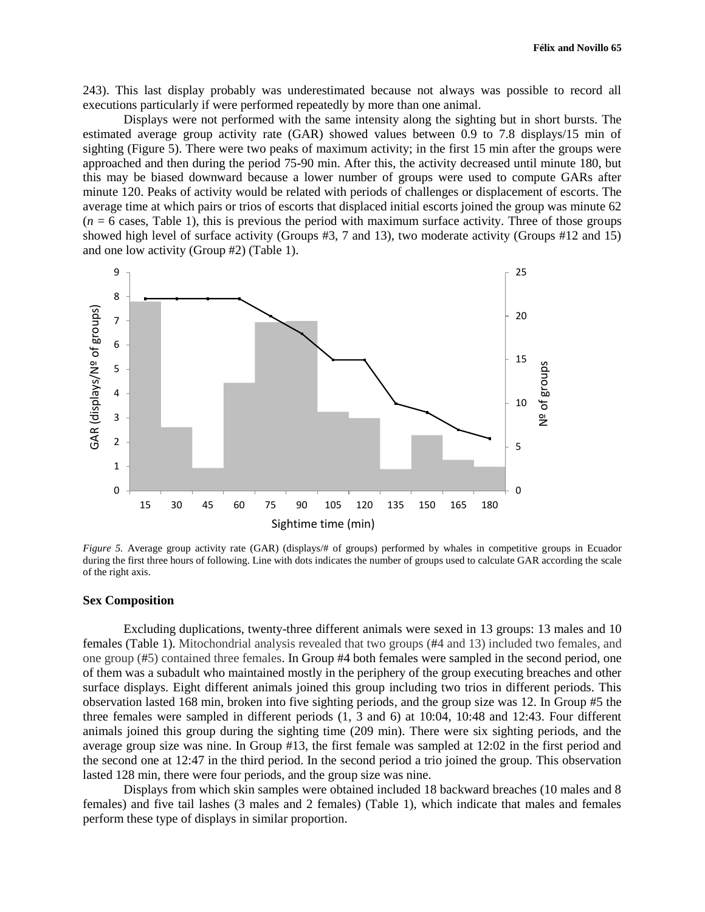243). This last display probably was underestimated because not always was possible to record all executions particularly if were performed repeatedly by more than one animal.

Displays were not performed with the same intensity along the sighting but in short bursts. The estimated average group activity rate (GAR) showed values between 0.9 to 7.8 displays/15 min of sighting (Figure 5). There were two peaks of maximum activity; in the first 15 min after the groups were approached and then during the period 75-90 min. After this, the activity decreased until minute 180, but this may be biased downward because a lower number of groups were used to compute GARs after minute 120. Peaks of activity would be related with periods of challenges or displacement of escorts. The average time at which pairs or trios of escorts that displaced initial escorts joined the group was minute 62  $(n = 6$  cases, Table 1), this is previous the period with maximum surface activity. Three of those groups showed high level of surface activity (Groups #3, 7 and 13), two moderate activity (Groups #12 and 15) and one low activity (Group #2) (Table 1).



*Figure 5.* Average group activity rate (GAR) (displays/# of groups) performed by whales in competitive groups in Ecuador during the first three hours of following. Line with dots indicates the number of groups used to calculate GAR according the scale of the right axis.

#### **Sex Composition**

Excluding duplications, twenty-three different animals were sexed in 13 groups: 13 males and 10 females (Table 1). Mitochondrial analysis revealed that two groups (#4 and 13) included two females, and one group (#5) contained three females. In Group #4 both females were sampled in the second period, one of them was a subadult who maintained mostly in the periphery of the group executing breaches and other surface displays. Eight different animals joined this group including two trios in different periods. This observation lasted 168 min, broken into five sighting periods, and the group size was 12. In Group #5 the three females were sampled in different periods (1, 3 and 6) at 10:04, 10:48 and 12:43. Four different animals joined this group during the sighting time (209 min). There were six sighting periods, and the average group size was nine. In Group #13, the first female was sampled at 12:02 in the first period and the second one at 12:47 in the third period. In the second period a trio joined the group. This observation lasted 128 min, there were four periods, and the group size was nine.

Displays from which skin samples were obtained included 18 backward breaches (10 males and 8 females) and five tail lashes (3 males and 2 females) (Table 1), which indicate that males and females perform these type of displays in similar proportion.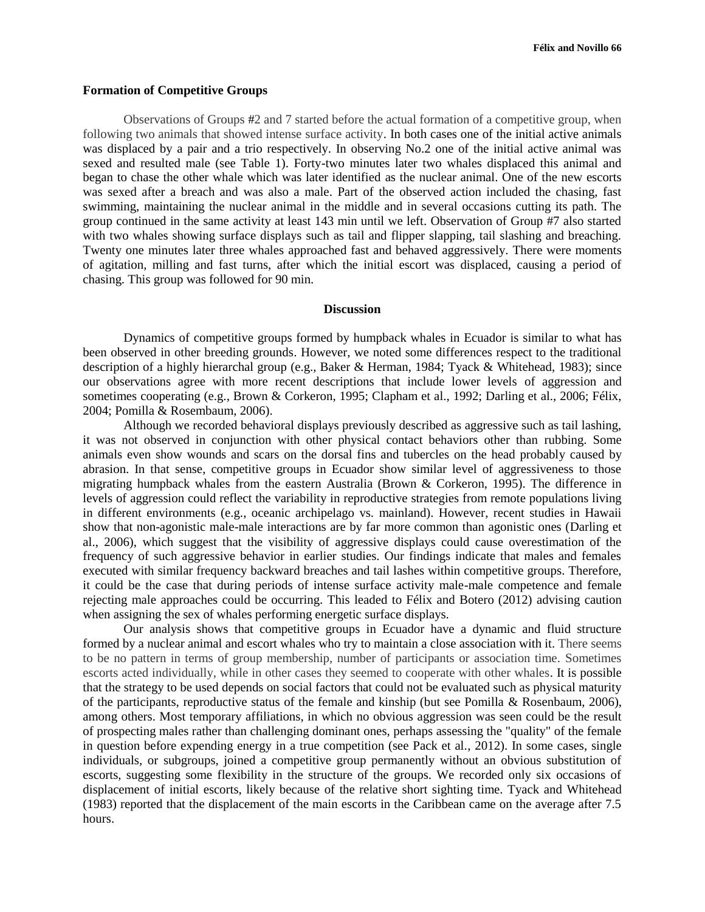#### **Formation of Competitive Groups**

Observations of Groups #2 and 7 started before the actual formation of a competitive group, when following two animals that showed intense surface activity. In both cases one of the initial active animals was displaced by a pair and a trio respectively. In observing No.2 one of the initial active animal was sexed and resulted male (see Table 1). Forty-two minutes later two whales displaced this animal and began to chase the other whale which was later identified as the nuclear animal. One of the new escorts was sexed after a breach and was also a male. Part of the observed action included the chasing, fast swimming, maintaining the nuclear animal in the middle and in several occasions cutting its path. The group continued in the same activity at least 143 min until we left. Observation of Group #7 also started with two whales showing surface displays such as tail and flipper slapping, tail slashing and breaching. Twenty one minutes later three whales approached fast and behaved aggressively. There were moments of agitation, milling and fast turns, after which the initial escort was displaced, causing a period of chasing. This group was followed for 90 min.

#### **Discussion**

Dynamics of competitive groups formed by humpback whales in Ecuador is similar to what has been observed in other breeding grounds. However, we noted some differences respect to the traditional description of a highly hierarchal group (e.g., Baker & Herman, 1984; Tyack & Whitehead, 1983); since our observations agree with more recent descriptions that include lower levels of aggression and sometimes cooperating (e.g., Brown & Corkeron, 1995; Clapham et al., 1992; Darling et al., 2006; Félix, 2004; Pomilla & Rosembaum, 2006).

Although we recorded behavioral displays previously described as aggressive such as tail lashing, it was not observed in conjunction with other physical contact behaviors other than rubbing. Some animals even show wounds and scars on the dorsal fins and tubercles on the head probably caused by abrasion. In that sense, competitive groups in Ecuador show similar level of aggressiveness to those migrating humpback whales from the eastern Australia (Brown & Corkeron, 1995). The difference in levels of aggression could reflect the variability in reproductive strategies from remote populations living in different environments (e.g., oceanic archipelago vs. mainland). However, recent studies in Hawaii show that non-agonistic male-male interactions are by far more common than agonistic ones (Darling et al., 2006), which suggest that the visibility of aggressive displays could cause overestimation of the frequency of such aggressive behavior in earlier studies. Our findings indicate that males and females executed with similar frequency backward breaches and tail lashes within competitive groups. Therefore, it could be the case that during periods of intense surface activity male-male competence and female rejecting male approaches could be occurring. This leaded to Félix and Botero (2012) advising caution when assigning the sex of whales performing energetic surface displays.

Our analysis shows that competitive groups in Ecuador have a dynamic and fluid structure formed by a nuclear animal and escort whales who try to maintain a close association with it. There seems to be no pattern in terms of group membership, number of participants or association time. Sometimes escorts acted individually, while in other cases they seemed to cooperate with other whales. It is possible that the strategy to be used depends on social factors that could not be evaluated such as physical maturity of the participants, reproductive status of the female and kinship (but see Pomilla & Rosenbaum, 2006), among others. Most temporary affiliations, in which no obvious aggression was seen could be the result of prospecting males rather than challenging dominant ones, perhaps assessing the "quality" of the female in question before expending energy in a true competition (see Pack et al*.*, 2012). In some cases, single individuals, or subgroups, joined a competitive group permanently without an obvious substitution of escorts, suggesting some flexibility in the structure of the groups. We recorded only six occasions of displacement of initial escorts, likely because of the relative short sighting time. Tyack and Whitehead (1983) reported that the displacement of the main escorts in the Caribbean came on the average after 7.5 hours.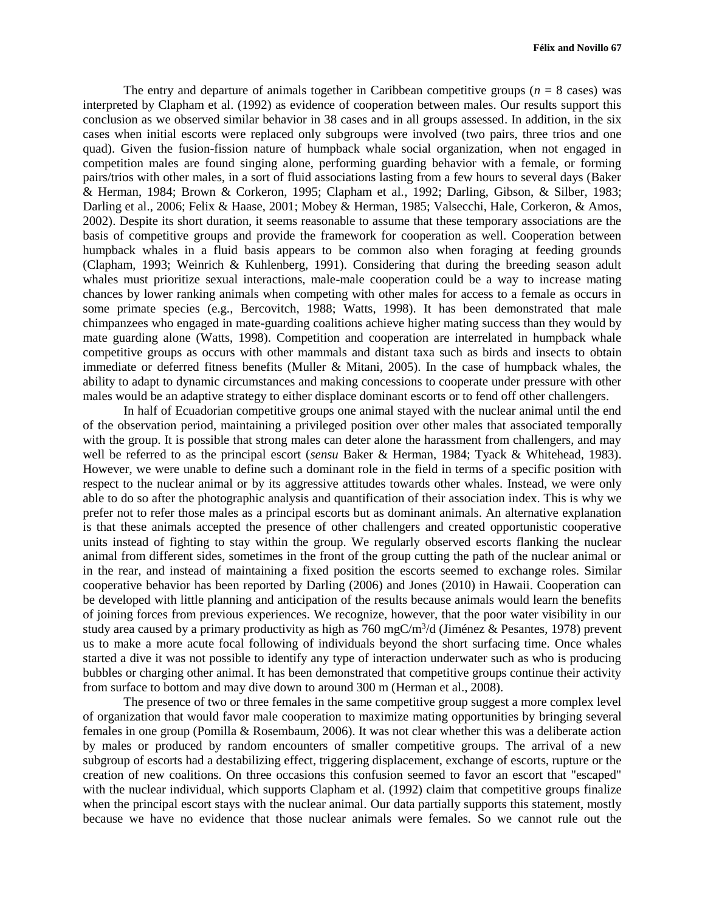The entry and departure of animals together in Caribbean competitive groups  $(n = 8 \text{ cases})$  was interpreted by Clapham et al. (1992) as evidence of cooperation between males. Our results support this conclusion as we observed similar behavior in 38 cases and in all groups assessed. In addition, in the six cases when initial escorts were replaced only subgroups were involved (two pairs, three trios and one quad). Given the fusion-fission nature of humpback whale social organization, when not engaged in competition males are found singing alone, performing guarding behavior with a female, or forming pairs/trios with other males, in a sort of fluid associations lasting from a few hours to several days (Baker & Herman, 1984; Brown & Corkeron, 1995; Clapham et al*.*, 1992; Darling, Gibson, & Silber, 1983; Darling et al., 2006; Felix & Haase, 2001; Mobey & Herman, 1985; Valsecchi, Hale, Corkeron, & Amos, 2002). Despite its short duration, it seems reasonable to assume that these temporary associations are the basis of competitive groups and provide the framework for cooperation as well. Cooperation between humpback whales in a fluid basis appears to be common also when foraging at feeding grounds (Clapham, 1993; Weinrich & Kuhlenberg, 1991). Considering that during the breeding season adult whales must prioritize sexual interactions, male-male cooperation could be a way to increase mating chances by lower ranking animals when competing with other males for access to a female as occurs in some primate species (e.g., Bercovitch, 1988; Watts, 1998). It has been demonstrated that male chimpanzees who engaged in mate-guarding coalitions achieve higher mating success than they would by mate guarding alone (Watts, 1998). Competition and cooperation are interrelated in humpback whale competitive groups as occurs with other mammals and distant taxa such as birds and insects to obtain immediate or deferred fitness benefits (Muller & Mitani, 2005). In the case of humpback whales, the ability to adapt to dynamic circumstances and making concessions to cooperate under pressure with other males would be an adaptive strategy to either displace dominant escorts or to fend off other challengers.

In half of Ecuadorian competitive groups one animal stayed with the nuclear animal until the end of the observation period, maintaining a privileged position over other males that associated temporally with the group. It is possible that strong males can deter alone the harassment from challengers, and may well be referred to as the principal escort (*sensu* Baker & Herman, 1984; Tyack & Whitehead, 1983). However, we were unable to define such a dominant role in the field in terms of a specific position with respect to the nuclear animal or by its aggressive attitudes towards other whales. Instead, we were only able to do so after the photographic analysis and quantification of their association index. This is why we prefer not to refer those males as a principal escorts but as dominant animals. An alternative explanation is that these animals accepted the presence of other challengers and created opportunistic cooperative units instead of fighting to stay within the group. We regularly observed escorts flanking the nuclear animal from different sides, sometimes in the front of the group cutting the path of the nuclear animal or in the rear, and instead of maintaining a fixed position the escorts seemed to exchange roles. Similar cooperative behavior has been reported by Darling (2006) and Jones (2010) in Hawaii. Cooperation can be developed with little planning and anticipation of the results because animals would learn the benefits of joining forces from previous experiences. We recognize, however, that the poor water visibility in our study area caused by a primary productivity as high as  $760 \text{ mgC/m}^3/d$  (Jiménez & Pesantes, 1978) prevent us to make a more acute focal following of individuals beyond the short surfacing time. Once whales started a dive it was not possible to identify any type of interaction underwater such as who is producing bubbles or charging other animal. It has been demonstrated that competitive groups continue their activity from surface to bottom and may dive down to around 300 m (Herman et al., 2008).

The presence of two or three females in the same competitive group suggest a more complex level of organization that would favor male cooperation to maximize mating opportunities by bringing several females in one group (Pomilla & Rosembaum, 2006). It was not clear whether this was a deliberate action by males or produced by random encounters of smaller competitive groups. The arrival of a new subgroup of escorts had a destabilizing effect, triggering displacement, exchange of escorts, rupture or the creation of new coalitions. On three occasions this confusion seemed to favor an escort that "escaped" with the nuclear individual, which supports Clapham et al. (1992) claim that competitive groups finalize when the principal escort stays with the nuclear animal. Our data partially supports this statement, mostly because we have no evidence that those nuclear animals were females. So we cannot rule out the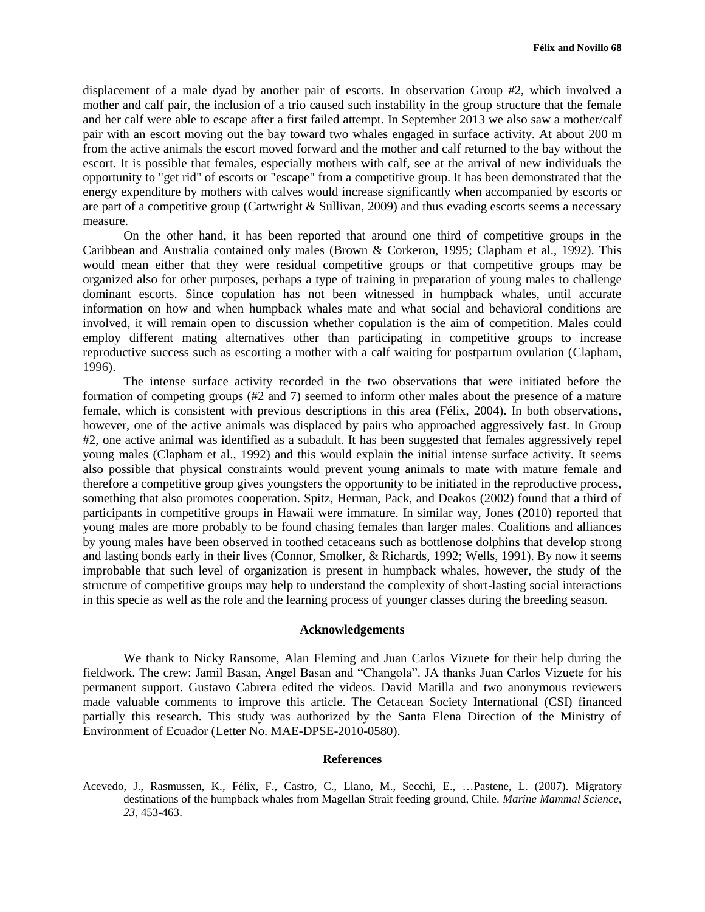displacement of a male dyad by another pair of escorts. In observation Group #2, which involved a mother and calf pair, the inclusion of a trio caused such instability in the group structure that the female and her calf were able to escape after a first failed attempt. In September 2013 we also saw a mother/calf pair with an escort moving out the bay toward two whales engaged in surface activity. At about 200 m from the active animals the escort moved forward and the mother and calf returned to the bay without the escort. It is possible that females, especially mothers with calf, see at the arrival of new individuals the opportunity to "get rid" of escorts or "escape" from a competitive group. It has been demonstrated that the energy expenditure by mothers with calves would increase significantly when accompanied by escorts or are part of a competitive group (Cartwright & Sullivan, 2009) and thus evading escorts seems a necessary measure.

On the other hand, it has been reported that around one third of competitive groups in the Caribbean and Australia contained only males (Brown & Corkeron, 1995; Clapham et al., 1992). This would mean either that they were residual competitive groups or that competitive groups may be organized also for other purposes, perhaps a type of training in preparation of young males to challenge dominant escorts. Since copulation has not been witnessed in humpback whales, until accurate information on how and when humpback whales mate and what social and behavioral conditions are involved, it will remain open to discussion whether copulation is the aim of competition. Males could employ different mating alternatives other than participating in competitive groups to increase reproductive success such as escorting a mother with a calf waiting for postpartum ovulation (Clapham, 1996).

The intense surface activity recorded in the two observations that were initiated before the formation of competing groups (#2 and 7) seemed to inform other males about the presence of a mature female, which is consistent with previous descriptions in this area (Félix, 2004). In both observations, however, one of the active animals was displaced by pairs who approached aggressively fast. In Group #2, one active animal was identified as a subadult. It has been suggested that females aggressively repel young males (Clapham et al., 1992) and this would explain the initial intense surface activity. It seems also possible that physical constraints would prevent young animals to mate with mature female and therefore a competitive group gives youngsters the opportunity to be initiated in the reproductive process, something that also promotes cooperation. Spitz, Herman, Pack, and Deakos (2002) found that a third of participants in competitive groups in Hawaii were immature. In similar way, Jones (2010) reported that young males are more probably to be found chasing females than larger males. Coalitions and alliances by young males have been observed in toothed cetaceans such as bottlenose dolphins that develop strong and lasting bonds early in their lives (Connor, Smolker, & Richards, 1992; Wells, 1991). By now it seems improbable that such level of organization is present in humpback whales, however, the study of the structure of competitive groups may help to understand the complexity of short-lasting social interactions in this specie as well as the role and the learning process of younger classes during the breeding season.

#### **Acknowledgements**

We thank to Nicky Ransome, Alan Fleming and Juan Carlos Vizuete for their help during the fieldwork. The crew: Jamil Basan, Angel Basan and "Changola". JA thanks Juan Carlos Vizuete for his permanent support. Gustavo Cabrera edited the videos. David Matilla and two anonymous reviewers made valuable comments to improve this article. The Cetacean Society International (CSI) financed partially this research. This study was authorized by the Santa Elena Direction of the Ministry of Environment of Ecuador (Letter No. MAE-DPSE-2010-0580).

## **References**

Acevedo, J., Rasmussen, K., Félix, F., Castro, C., Llano, M., Secchi, E., …Pastene, L. (2007). Migratory destinations of the humpback whales from Magellan Strait feeding ground, Chile. *Marine Mammal Science*, *23*, 453-463.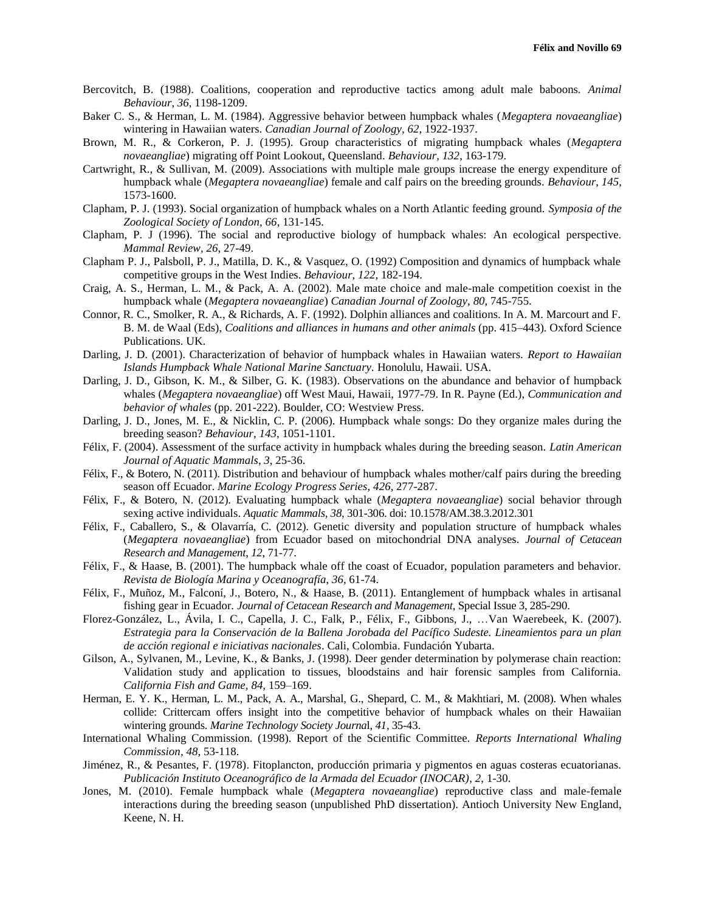- Bercovitch, B. (1988). Coalitions, cooperation and reproductive tactics among adult male baboons. *Animal Behaviour*, *36*, 1198-1209.
- Baker C. S., & Herman, L. M. (1984). Aggressive behavior between humpback whales (*Megaptera novaeangliae*) wintering in Hawaiian waters. *Canadian Journal of Zoology*, *62*, 1922-1937.
- Brown, M. R., & Corkeron, P. J. (1995). Group characteristics of migrating humpback whales (*Megaptera novaeangliae*) migrating off Point Lookout, Queensland. *Behaviour*, *132*, 163-179.
- Cartwright, R., & Sullivan, M. (2009). Associations with multiple male groups increase the energy expenditure of humpback whale (*Megaptera novaeangliae*) female and calf pairs on the breeding grounds. *Behaviour*, *145*, 1573-1600.
- Clapham, P. J. (1993). Social organization of humpback whales on a North Atlantic feeding ground. *Symposia of the Zoological Society of London, 66*, 131-145.
- Clapham, P. J (1996). The social and reproductive biology of humpback whales: An ecological perspective. *Mammal Review*, *26*, 27-49.
- Clapham P. J., Palsboll, P. J., Matilla, D. K., & Vasquez, O. (1992) Composition and dynamics of humpback whale competitive groups in the West Indies. *Behaviour*, *122*, 182-194.
- Craig, A. S., Herman, L. M., & Pack, A. A. (2002). Male mate choice and male-male competition coexist in the humpback whale (*Megaptera novaeangliae*) *Canadian Journal of Zoology*, *80*, 745-755.
- Connor, R. C., Smolker, R. A., & Richards, A. F. (1992). Dolphin alliances and coalitions. In A. M. Marcourt and F. B. M. de Waal (Eds), *Coalitions and alliances in humans and other animals* (pp. 415–443). Oxford Science Publications. UK.
- Darling, J. D. (2001). Characterization of behavior of humpback whales in Hawaiian waters. *Report to Hawaiian Islands Humpback Whale National Marine Sanctuary.* Honolulu, Hawaii. USA.
- Darling, J. D., Gibson, K. M., & Silber, G. K. (1983). Observations on the abundance and behavior of humpback whales (*Megaptera novaeangliae*) off West Maui, Hawaii, 1977-79. In R. Payne (Ed.), *Communication and behavior of whales* (pp. 201-222). Boulder, CO: Westview Press.
- Darling, J. D., Jones, M. E., & Nicklin, C. P. (2006). Humpback whale songs: Do they organize males during the breeding season? *Behaviour*, *143*, 1051-1101.
- Félix, F. (2004). Assessment of the surface activity in humpback whales during the breeding season. *Latin American Journal of Aquatic Mammals*, *3*, 25-36.
- Félix, F., & Botero, N. (2011). Distribution and behaviour of humpback whales mother/calf pairs during the breeding season off Ecuador. *Marine Ecology Progress Series*, *426*, 277-287.
- Félix, F., & Botero, N. (2012). Evaluating humpback whale (*Megaptera novaeangliae*) social behavior through sexing active individuals. *Aquatic Mammals, 38*, 301-306. doi: 10.1578/AM.38.3.2012.301
- Félix, F., Caballero, S., & Olavarría, C. (2012). Genetic diversity and population structure of humpback whales (*Megaptera novaeangliae*) from Ecuador based on mitochondrial DNA analyses. *Journal of Cetacean Research and Management*, *12*, 71-77.
- Félix, F., & Haase, B. (2001). The humpback whale off the coast of Ecuador, population parameters and behavior. *Revista de Biología Marina y Oceanografía*, *36*, 61-74.
- Félix, F., Muñoz, M., Falconí, J., Botero, N., & Haase, B. (2011). Entanglement of humpback whales in artisanal fishing gear in Ecuador. *Journal of Cetacean Research and Management*, Special Issue 3, 285-290.
- Florez-González, L., Ávila, I. C., Capella, J. C., Falk, P., Félix, F., Gibbons, J., …Van Waerebeek, K. (2007). *Estrategia para la Conservación de la Ballena Jorobada del Pacífico Sudeste. Lineamientos para un plan de acción regional e iniciativas nacionales*. Cali, Colombia. Fundación Yubarta.
- Gilson, A., Sylvanen, M., Levine, K., & Banks, J. (1998). Deer gender determination by polymerase chain reaction: Validation study and application to tissues, bloodstains and hair forensic samples from California. *California Fish and Game, 84*, 159–169.
- Herman, E. Y. K., Herman, L. M., Pack, A. A., Marshal, G., Shepard, C. M., & Makhtiari, M. (2008). When whales collide: Crittercam offers insight into the competitive behavior of humpback whales on their Hawaiian wintering grounds. *Marine Technology Society Journa*l, *41*, 35-43.
- International Whaling Commission. (1998). Report of the Scientific Committee. *Reports International Whaling Commission, 48*, 53-118.
- Jiménez, R., & Pesantes, F. (1978). Fitoplancton, producción primaria y pigmentos en aguas costeras ecuatorianas. *Publicación Instituto Oceanográfico de la Armada del Ecuador (INOCAR)*, *2*, 1-30.
- Jones, M. (2010). Female humpback whale (*Megaptera novaeangliae*) reproductive class and male-female interactions during the breeding season (unpublished PhD dissertation). Antioch University New England, Keene, N. H.